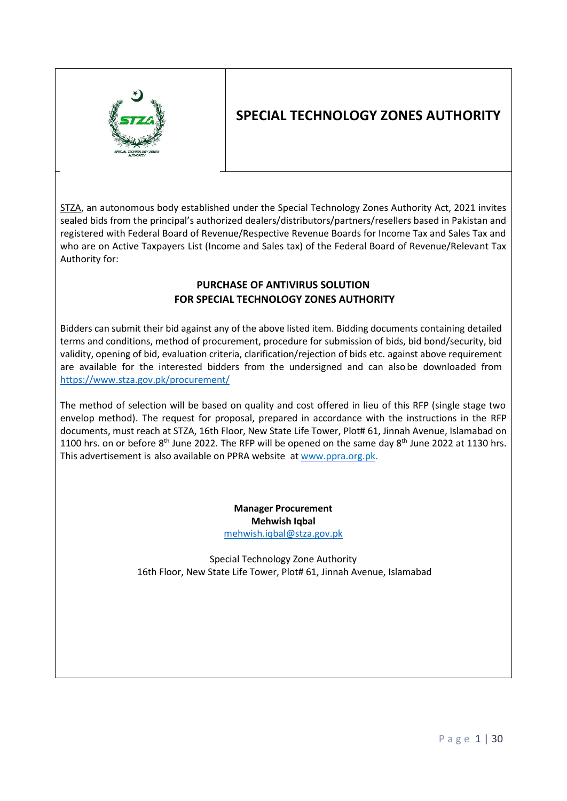

# **SPECIAL TECHNOLOGY ZONES AUTHORITY**

STZA, an autonomous body established under the Special Technology Zones Authority Act, 2021 invites sealed bids from the principal's authorized dealers/distributors/partners/resellers based in Pakistan and registered with Federal Board of Revenue/Respective Revenue Boards for Income Tax and Sales Tax and who are on Active Taxpayers List (Income and Sales tax) of the Federal Board of Revenue/Relevant Tax Authority for:

# **PURCHASE OF ANTIVIRUS SOLUTION FOR SPECIAL TECHNOLOGY ZONES AUTHORITY**

Bidders can submit their bid against any of the above listed item. Bidding documents containing detailed terms and conditions, method of procurement, procedure for submission of bids, bid bond/security, bid validity, opening of bid, evaluation criteria, clarification/rejection of bids etc. against above requirement are available for the interested bidders from the undersigned and can also be downloaded from <https://www.stza.gov.pk/procurement/>

The method of selection will be based on quality and cost offered in lieu of this RFP (single stage two envelop method). The request for proposal, prepared in accordance with the instructions in the RFP documents, must reach at STZA, 16th Floor, New State Life Tower, Plot# 61, Jinnah Avenue, Islamabad on 1100 hrs. on or before 8<sup>th</sup> June 2022. The RFP will be opened on the same day 8<sup>th</sup> June 2022 at 1130 hrs. This advertisement is also available on PPRA website at [www.ppra.org.pk.](http://www.ppra.org.pk/)

> **Manager Procurement Mehwish Iqbal** [mehwish.iqbal@stza.gov.pk](mailto:mehwish.iqbal@stza.gov.pk)

Special Technology Zone Authority 16th Floor, New State Life Tower, Plot# 61, Jinnah Avenue, Islamabad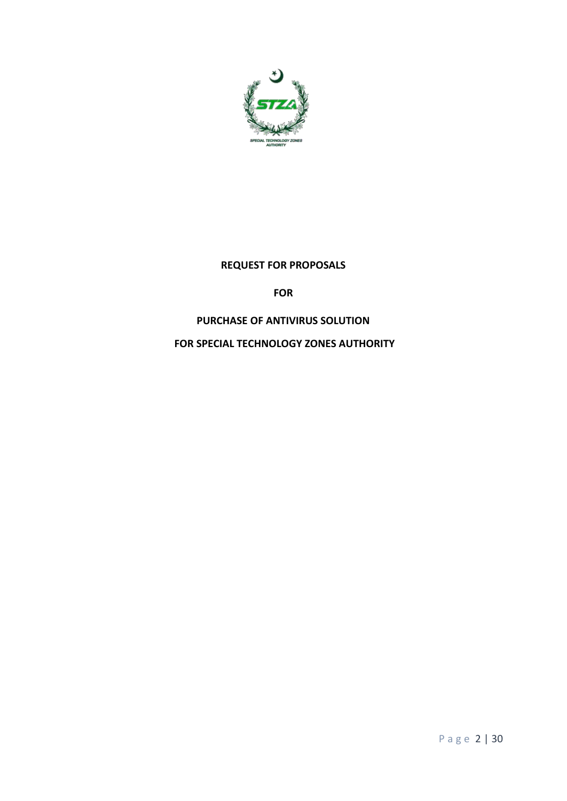

### **REQUEST FOR PROPOSALS**

**FOR** 

### **PURCHASE OF ANTIVIRUS SOLUTION**

**FOR SPECIAL TECHNOLOGY ZONES AUTHORITY**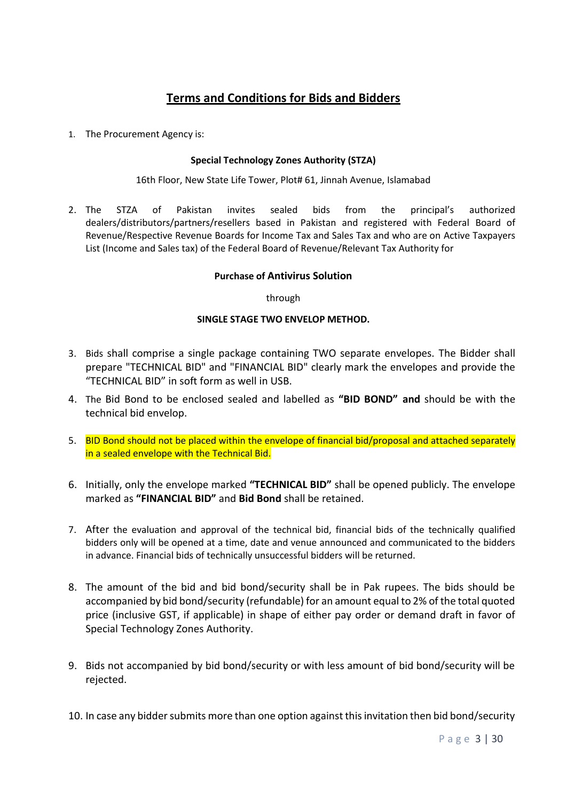# **Terms and Conditions for Bids and Bidders**

1. The Procurement Agency is:

#### **Special Technology Zones Authority (STZA)**

16th Floor, New State Life Tower, Plot# 61, Jinnah Avenue, Islamabad

2. The STZA of Pakistan invites sealed bids from the principal's authorized dealers/distributors/partners/resellers based in Pakistan and registered with Federal Board of Revenue/Respective Revenue Boards for Income Tax and Sales Tax and who are on Active Taxpayers List (Income and Sales tax) of the Federal Board of Revenue/Relevant Tax Authority for

#### **Purchase of Antivirus Solution**

through

#### **SINGLE STAGE TWO ENVELOP METHOD.**

- 3. Bids shall comprise a single package containing TWO separate envelopes. The Bidder shall prepare "TECHNICAL BID" and "FINANCIAL BID" clearly mark the envelopes and provide the "TECHNICAL BID" in soft form as well in USB.
- 4. The Bid Bond to be enclosed sealed and labelled as **"BID BOND" and** should be with the technical bid envelop.
- 5. BID Bond should not be placed within the envelope of financial bid/proposal and attached separately in a sealed envelope with the Technical Bid.
- 6. Initially, only the envelope marked **"TECHNICAL BID"** shall be opened publicly. The envelope marked as **"FINANCIAL BID"** and **Bid Bond** shall be retained.
- 7. After the evaluation and approval of the technical bid, financial bids of the technically qualified bidders only will be opened at a time, date and venue announced and communicated to the bidders in advance. Financial bids of technically unsuccessful bidders will be returned.
- 8. The amount of the bid and bid bond/security shall be in Pak rupees. The bids should be accompanied by bid bond/security (refundable) for an amount equal to 2% of the total quoted price (inclusive GST, if applicable) in shape of either pay order or demand draft in favor of Special Technology Zones Authority.
- 9. Bids not accompanied by bid bond/security or with less amount of bid bond/security will be rejected.
- 10. In case any bidder submits more than one option against this invitation then bid bond/security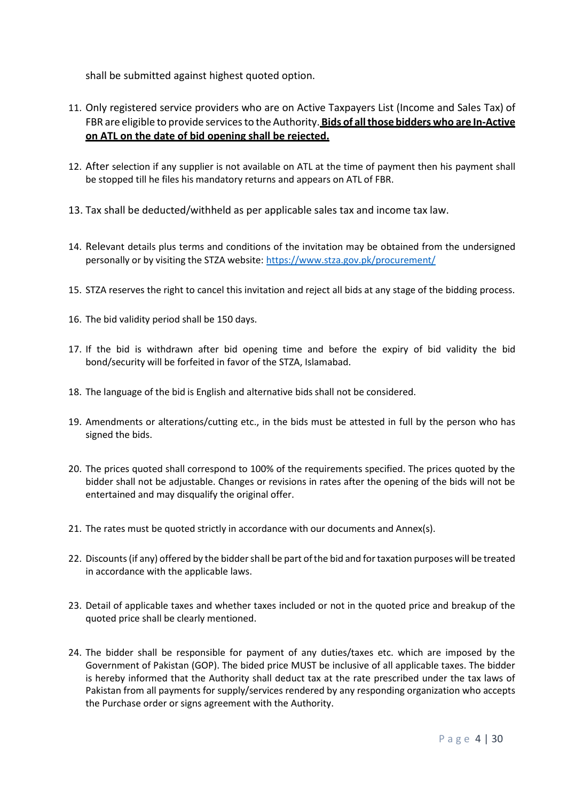shall be submitted against highest quoted option.

- 11. Only registered service providers who are on Active Taxpayers List (Income and Sales Tax) of FBR are eligible to provide servicesto the Authority. **Bids of allthose bidders who are In-Active on ATL on the date of bid opening shall be rejected.**
- 12. After selection if any supplier is not available on ATL at the time of payment then his payment shall be stopped till he files his mandatory returns and appears on ATL of FBR.
- 13. Tax shall be deducted/withheld as per applicable sales tax and income tax law.
- 14. Relevant details plus terms and conditions of the invitation may be obtained from the undersigned personally or by visiting the STZA website: <https://www.stza.gov.pk/procurement/>
- 15. STZA reserves the right to cancel this invitation and reject all bids at any stage of the bidding process.
- 16. The bid validity period shall be 150 days.
- 17. If the bid is withdrawn after bid opening time and before the expiry of bid validity the bid bond/security will be forfeited in favor of the STZA, Islamabad.
- 18. The language of the bid is English and alternative bids shall not be considered.
- 19. Amendments or alterations/cutting etc., in the bids must be attested in full by the person who has signed the bids.
- 20. The prices quoted shall correspond to 100% of the requirements specified. The prices quoted by the bidder shall not be adjustable. Changes or revisions in rates after the opening of the bids will not be entertained and may disqualify the original offer.
- 21. The rates must be quoted strictly in accordance with our documents and Annex(s).
- 22. Discounts (if any) offered by the bidder shall be part of the bid and for taxation purposes will be treated in accordance with the applicable laws.
- 23. Detail of applicable taxes and whether taxes included or not in the quoted price and breakup of the quoted price shall be clearly mentioned.
- 24. The bidder shall be responsible for payment of any duties/taxes etc. which are imposed by the Government of Pakistan (GOP). The bided price MUST be inclusive of all applicable taxes. The bidder is hereby informed that the Authority shall deduct tax at the rate prescribed under the tax laws of Pakistan from all payments for supply/services rendered by any responding organization who accepts the Purchase order or signs agreement with the Authority.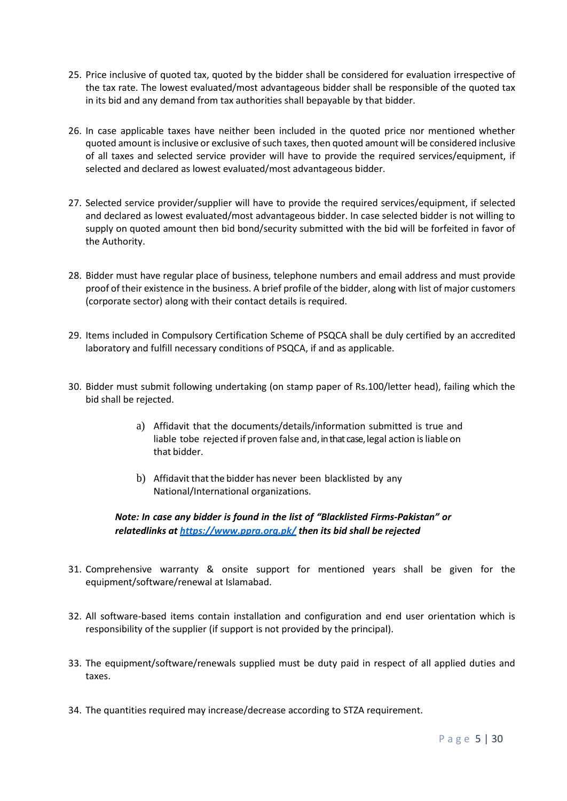- 25. Price inclusive of quoted tax, quoted by the bidder shall be considered for evaluation irrespective of the tax rate. The lowest evaluated/most advantageous bidder shall be responsible of the quoted tax in its bid and any demand from tax authorities shall bepayable by that bidder.
- 26. In case applicable taxes have neither been included in the quoted price nor mentioned whether quoted amount is inclusive or exclusive of such taxes, then quoted amount will be considered inclusive of all taxes and selected service provider will have to provide the required services/equipment, if selected and declared as lowest evaluated/most advantageous bidder.
- 27. Selected service provider/supplier will have to provide the required services/equipment, if selected and declared as lowest evaluated/most advantageous bidder. In case selected bidder is not willing to supply on quoted amount then bid bond/security submitted with the bid will be forfeited in favor of the Authority.
- 28. Bidder must have regular place of business, telephone numbers and email address and must provide proof of their existence in the business. A brief profile of the bidder, along with list of major customers (corporate sector) along with their contact details is required.
- 29. Items included in Compulsory Certification Scheme of PSQCA shall be duly certified by an accredited laboratory and fulfill necessary conditions of PSQCA, if and as applicable.
- 30. Bidder must submit following undertaking (on stamp paper of Rs.100/letter head), failing which the bid shall be rejected.
	- a) Affidavit that the documents/details/information submitted is true and liable tobe rejected if proven false and, in that case, legal action is liable on that bidder.
	- b) Affidavit that the bidder has never been blacklisted by any National/International organizations.

*Note: In case any bidder is found in the list of "Blacklisted Firms-Pakistan" or relatedlinks at <https://www.ppra.org.pk/> then its bid shall be rejected*

- 31. Comprehensive warranty & onsite support for mentioned years shall be given for the equipment/software/renewal at Islamabad.
- 32. All software-based items contain installation and configuration and end user orientation which is responsibility of the supplier (if support is not provided by the principal).
- 33. The equipment/software/renewals supplied must be duty paid in respect of all applied duties and taxes.
- 34. The quantities required may increase/decrease according to STZA requirement.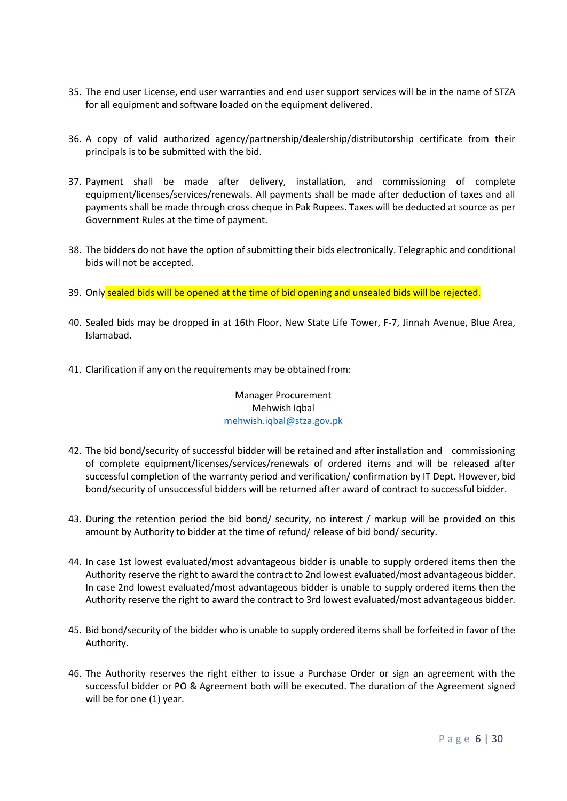- 35. The end user License, end user warranties and end user support services will be in the name of STZA for all equipment and software loaded on the equipment delivered.
- 36. A copy of valid authorized agency/partnership/dealership/distributorship certificate from their principals is to be submitted with the bid.
- 37. Payment shall be made after delivery, installation, and commissioning of complete equipment/licenses/services/renewals. All payments shall be made after deduction of taxes and all payments shall be made through cross cheque in Pak Rupees. Taxes will be deducted at source as per Government Rules at the time of payment.
- 38. The bidders do not have the option of submitting their bids electronically. Telegraphic and conditional bids will not be accepted.
- 39. Only sealed bids will be opened at the time of bid opening and unsealed bids will be rejected.
- 40. Sealed bids may be dropped in at 16th Floor, New State Life Tower, F-7, Jinnah Avenue, Blue Area, Islamabad.
- 41. Clarification if any on the requirements may be obtained from:

Manager Procurement Mehwish Iqbal [mehwish.iqbal@stza.gov.pk](mailto:mehwish.iqbal@stza.gov.pk)

- 42. The bid bond/security of successful bidder will be retained and after installation and commissioning of complete equipment/licenses/services/renewals of ordered items and will be released after successful completion of the warranty period and verification/ confirmation by IT Dept. However, bid bond/security of unsuccessful bidders will be returned after award of contract to successful bidder.
- 43. During the retention period the bid bond/ security, no interest / markup will be provided on this amount by Authority to bidder at the time of refund/ release of bid bond/ security.
- 44. In case 1st lowest evaluated/most advantageous bidder is unable to supply ordered items then the Authority reserve the right to award the contract to 2nd lowest evaluated/most advantageous bidder. In case 2nd lowest evaluated/most advantageous bidder is unable to supply ordered items then the Authority reserve the right to award the contract to 3rd lowest evaluated/most advantageous bidder.
- 45. Bid bond/security of the bidder who is unable to supply ordered items shall be forfeited in favor of the Authority.
- 46. The Authority reserves the right either to issue a Purchase Order or sign an agreement with the successful bidder or PO & Agreement both will be executed. The duration of the Agreement signed will be for one (1) year.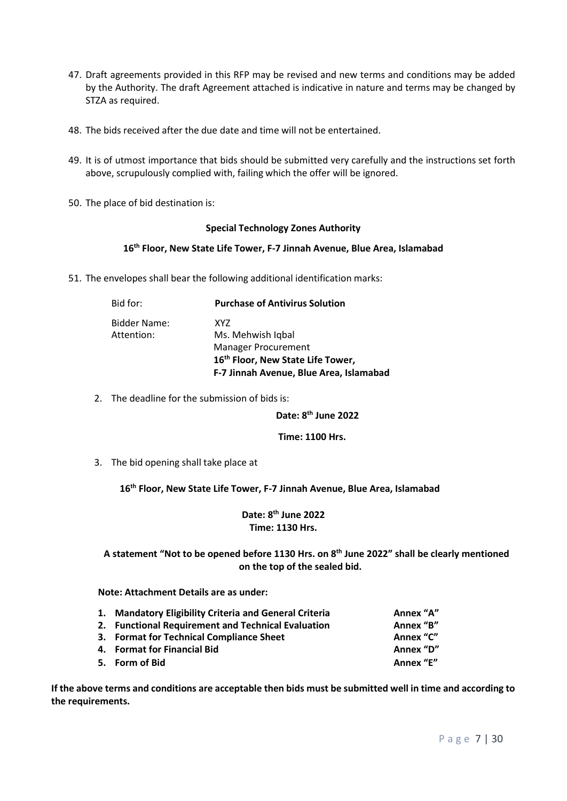- 47. Draft agreements provided in this RFP may be revised and new terms and conditions may be added by the Authority. The draft Agreement attached is indicative in nature and terms may be changed by STZA as required.
- 48. The bids received after the due date and time will not be entertained.
- 49. It is of utmost importance that bids should be submitted very carefully and the instructions set forth above, scrupulously complied with, failing which the offer will be ignored.
- 50. The place of bid destination is:

#### **Special Technology Zones Authority**

#### **16th Floor, New State Life Tower, F-7 Jinnah Avenue, Blue Area, Islamabad**

51. The envelopes shall bear the following additional identification marks:

| Bid for:                          | <b>Purchase of Antivirus Solution</b>         |
|-----------------------------------|-----------------------------------------------|
| <b>Bidder Name:</b><br>Attention: | XY7<br>Ms. Mehwish Iqbal                      |
|                                   | <b>Manager Procurement</b>                    |
|                                   | 16 <sup>th</sup> Floor, New State Life Tower, |
|                                   | F-7 Jinnah Avenue, Blue Area, Islamabad       |

2. The deadline for the submission of bids is:

 **Date: 8 Date: 8 Date: 8 th June 2022**

 **Time: 1100 Hrs.**

3. The bid opening shall take place at

**16th Floor, New State Life Tower, F-7 Jinnah Avenue, Blue Area, Islamabad**

**Date: 8 th June 2022 Time: 1130 Hrs.**

**A statement "Not to be opened before 1130 Hrs. on 8 th June 2022" shall be clearly mentioned on the top of the sealed bid.**

**Note: Attachment Details are as under:**

| 1. Mandatory Eligibility Criteria and General Criteria | Annex "A" |
|--------------------------------------------------------|-----------|
| 2. Functional Requirement and Technical Evaluation     | Annex "B" |
| 3. Format for Technical Compliance Sheet               | Annex "C" |
| 4. Format for Financial Bid                            | Annex "D" |
| 5. Form of Bid                                         | Annex "E" |

**If the above terms and conditions are acceptable then bids must be submitted well in time and according to the requirements.**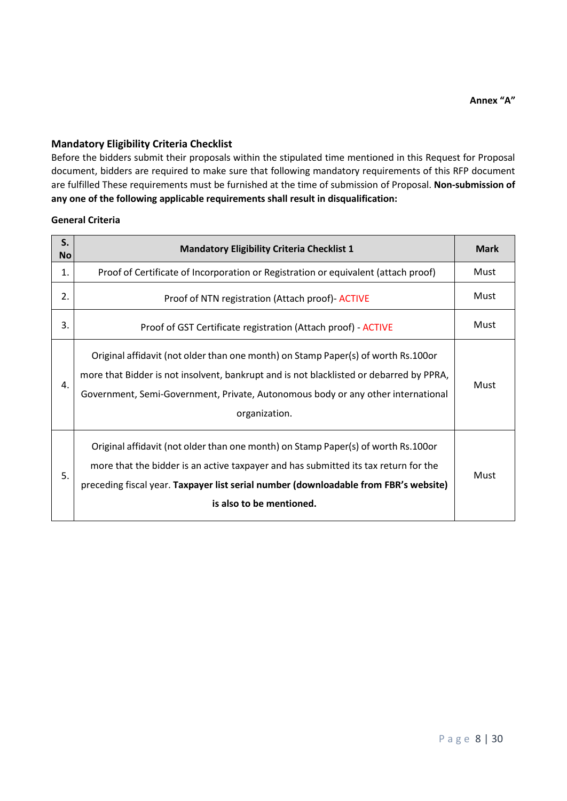### **Mandatory Eligibility Criteria Checklist**

Before the bidders submit their proposals within the stipulated time mentioned in this Request for Proposal document, bidders are required to make sure that following mandatory requirements of this RFP document are fulfilled These requirements must be furnished at the time of submission of Proposal. **Non-submission of any one of the following applicable requirements shall result in disqualification:**

#### **General Criteria**

| S.<br>No | <b>Mandatory Eligibility Criteria Checklist 1</b>                                                                                                                                                                                                                                            | <b>Mark</b> |
|----------|----------------------------------------------------------------------------------------------------------------------------------------------------------------------------------------------------------------------------------------------------------------------------------------------|-------------|
| 1.       | Proof of Certificate of Incorporation or Registration or equivalent (attach proof)                                                                                                                                                                                                           | Must        |
| 2.       | Proof of NTN registration (Attach proof) - ACTIVE                                                                                                                                                                                                                                            | Must        |
| 3.       | Proof of GST Certificate registration (Attach proof) - ACTIVE                                                                                                                                                                                                                                | Must        |
| 4.       | Original affidavit (not older than one month) on Stamp Paper(s) of worth Rs.100or<br>more that Bidder is not insolvent, bankrupt and is not blacklisted or debarred by PPRA,<br>Government, Semi-Government, Private, Autonomous body or any other international<br>organization.            | Must        |
| 5.       | Original affidavit (not older than one month) on Stamp Paper(s) of worth Rs.100or<br>more that the bidder is an active taxpayer and has submitted its tax return for the<br>preceding fiscal year. Taxpayer list serial number (downloadable from FBR's website)<br>is also to be mentioned. | Must        |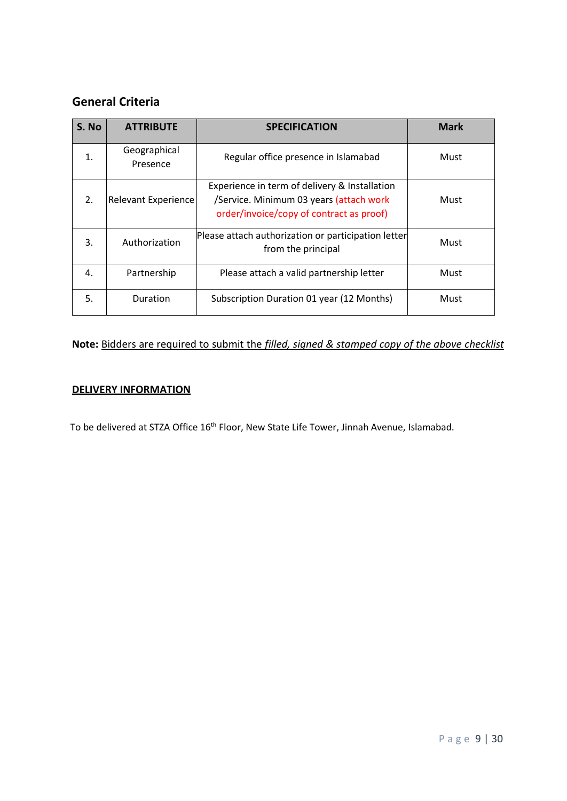# **General Criteria**

| S. No          | <b>ATTRIBUTE</b>           | <b>SPECIFICATION</b>                                                                                                                 | <b>Mark</b> |
|----------------|----------------------------|--------------------------------------------------------------------------------------------------------------------------------------|-------------|
| $\mathbf{1}$ . | Geographical<br>Presence   | Regular office presence in Islamabad                                                                                                 | Must        |
| 2.             | <b>Relevant Experience</b> | Experience in term of delivery & Installation<br>/Service. Minimum 03 years (attach work<br>order/invoice/copy of contract as proof) | Must        |
| 3.             | Authorization              | Please attach authorization or participation letter<br>from the principal                                                            | Must        |
| 4.             | Partnership                | Please attach a valid partnership letter                                                                                             | Must        |
| 5.             | Duration                   | Subscription Duration 01 year (12 Months)                                                                                            | Must        |

# **Note:** Bidders are required to submit the *filled, signed & stamped copy of the above checklist*

### **DELIVERY INFORMATION**

To be delivered at STZA Office 16<sup>th</sup> Floor, New State Life Tower, Jinnah Avenue, Islamabad.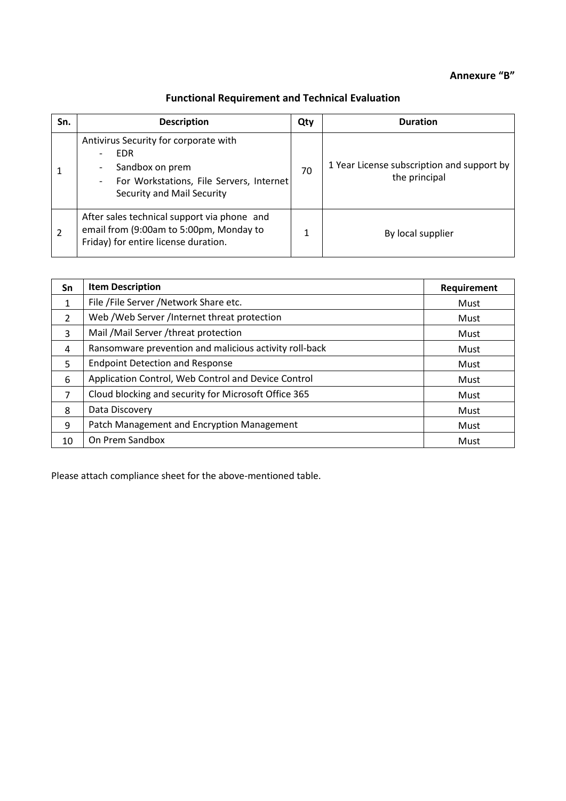# **Annexure "B"**

# **Functional Requirement and Technical Evaluation**

| Sn. | <b>Description</b>                                                                                                                               | Qty | <b>Duration</b>                                             |
|-----|--------------------------------------------------------------------------------------------------------------------------------------------------|-----|-------------------------------------------------------------|
|     | Antivirus Security for corporate with<br><b>EDR</b><br>Sandbox on prem<br>For Workstations, File Servers, Internet<br>Security and Mail Security | 70  | 1 Year License subscription and support by<br>the principal |
| 2   | After sales technical support via phone and<br>email from (9:00am to 5:00pm, Monday to<br>Friday) for entire license duration.                   |     | By local supplier                                           |

| Sn | <b>Item Description</b>                                | Requirement |
|----|--------------------------------------------------------|-------------|
| 1  | File / File Server / Network Share etc.                | Must        |
| 2  | Web / Web Server / Internet threat protection          | Must        |
| 3  | Mail /Mail Server /threat protection                   | Must        |
| 4  | Ransomware prevention and malicious activity roll-back | Must        |
| 5  | <b>Endpoint Detection and Response</b>                 | Must        |
| 6  | Application Control, Web Control and Device Control    | Must        |
| 7  | Cloud blocking and security for Microsoft Office 365   | Must        |
| 8  | Data Discovery                                         | Must        |
| 9  | Patch Management and Encryption Management             | Must        |
| 10 | On Prem Sandbox                                        | Must        |

Please attach compliance sheet for the above-mentioned table.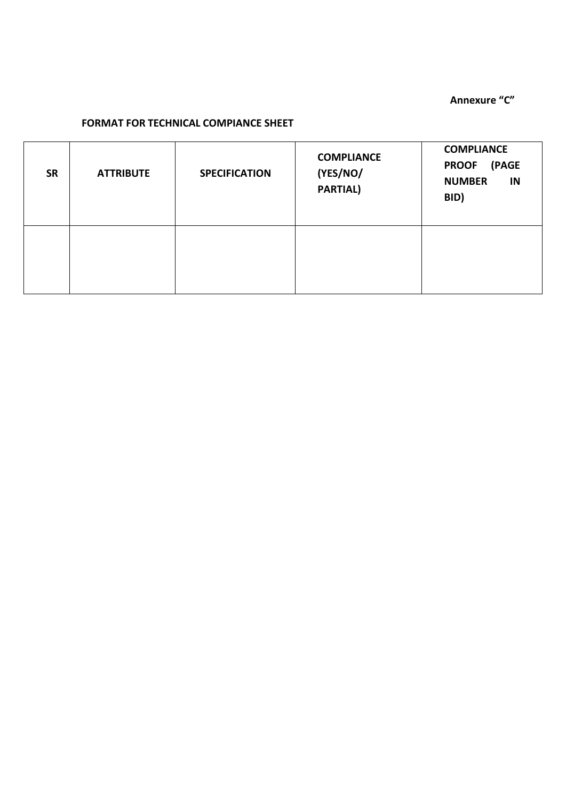**Annexure "C"**

# **FORMAT FOR TECHNICAL COMPIANCE SHEET**

| <b>SR</b> | <b>ATTRIBUTE</b> | <b>SPECIFICATION</b> | <b>COMPLIANCE</b><br>(YES/NO/<br><b>PARTIAL)</b> | <b>COMPLIANCE</b><br>(PAGE<br><b>PROOF</b><br><b>NUMBER</b><br>IN<br>BID) |
|-----------|------------------|----------------------|--------------------------------------------------|---------------------------------------------------------------------------|
|           |                  |                      |                                                  |                                                                           |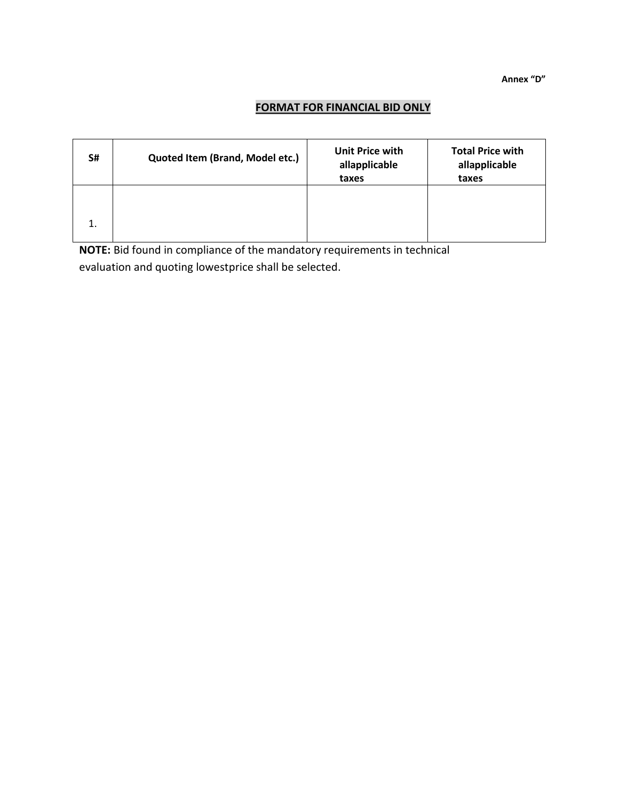**Annex "D"**

# **FORMAT FOR FINANCIAL BID ONLY**

| S# | Quoted Item (Brand, Model etc.) | Unit Price with<br>allapplicable<br>taxes | <b>Total Price with</b><br>allapplicable<br>taxes |
|----|---------------------------------|-------------------------------------------|---------------------------------------------------|
| 1. |                                 |                                           |                                                   |

**NOTE:** Bid found in compliance of the mandatory requirements in technical evaluation and quoting lowestprice shall be selected.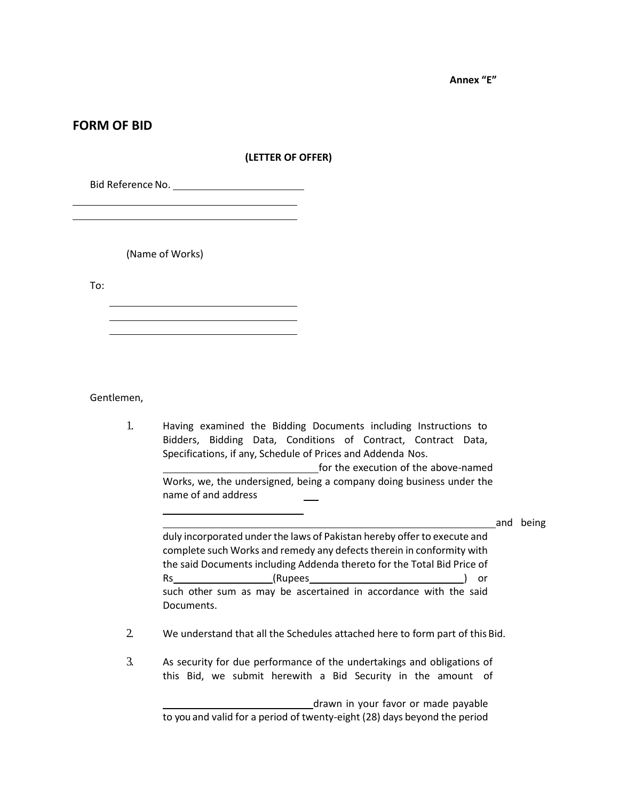**Annex "E"**

### **FORM OF BID**

#### **(LETTER OF OFFER)**

Bid ReferenceNo.

(Name of Works)

To:

Gentlemen,

1. Having examined the Bidding Documents including Instructions to Bidders, Bidding Data, Conditions of Contract, Contract Data, Specifications, if any, Schedule of Prices and Addenda Nos. for the execution of the above-named Works, we, the undersigned, being a company doing business under the name of and address

and being

duly incorporated under the laws of Pakistan hereby offer to execute and complete such Works and remedy any defects therein in conformity with the said Documents including Addenda thereto for the Total Bid Price of Rs (Rupees ) or such other sum as may be ascertained in accordance with the said Documents.

- 2. We understand that all the Schedules attached here to form part of this Bid.
- 3. As security for due performance of the undertakings and obligations of this Bid, we submit herewith a Bid Security in the amount of

drawn in your favor or made payable to you and valid for a period of twenty-eight (28) days beyond the period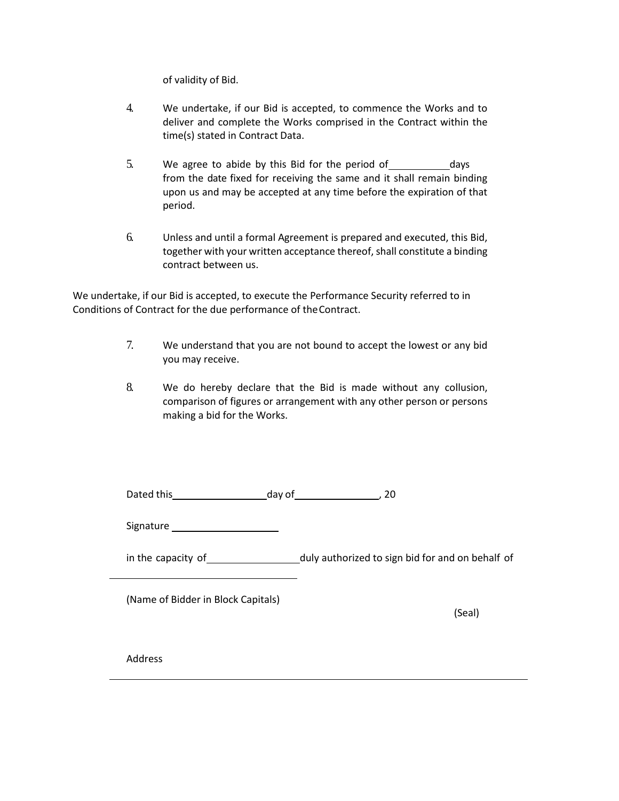of validity of Bid.

- 4. We undertake, if our Bid is accepted, to commence the Works and to deliver and complete the Works comprised in the Contract within the time(s) stated in Contract Data.
- 5. We agree to abide by this Bid for the period of days from the date fixed for receiving the same and it shall remain binding upon us and may be accepted at any time before the expiration of that period.
- 6. Unless and until a formal Agreement is prepared and executed, this Bid, together with your written acceptance thereof, shall constitute a binding contract between us.

We undertake, if our Bid is accepted, to execute the Performance Security referred to in Conditions of Contract for the due performance of theContract.

- 7. We understand that you are not bound to accept the lowest or any bid you may receive.
- 8. We do hereby declare that the Bid is made without any collusion, comparison of figures or arrangement with any other person or persons making a bid for the Works.

| Dated this | day of |  |
|------------|--------|--|
|            |        |  |

Signature

in the capacity of duly authorized to sign bid for and on behalf of

(Name of Bidder in Block Capitals)

(Seal)

Address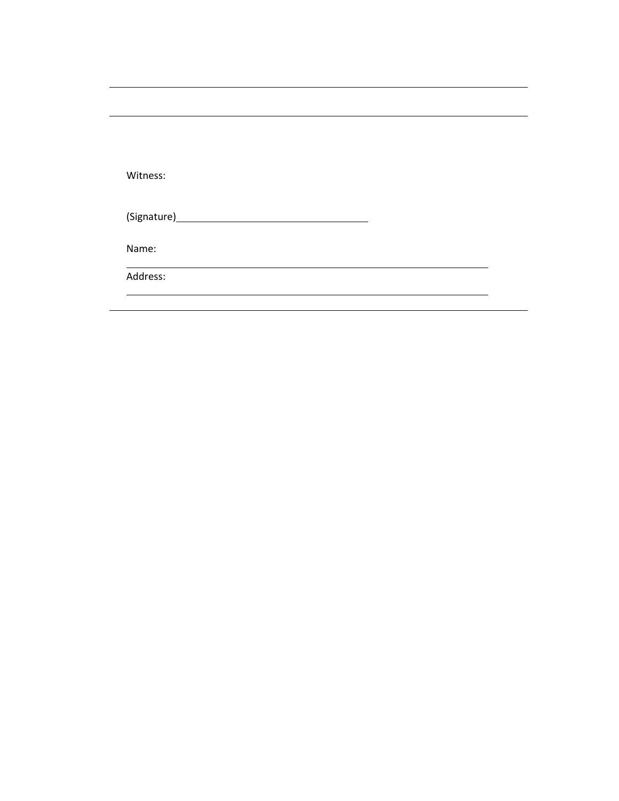| Witness: |  |  |
|----------|--|--|
|          |  |  |
| Name:    |  |  |
| Address: |  |  |
|          |  |  |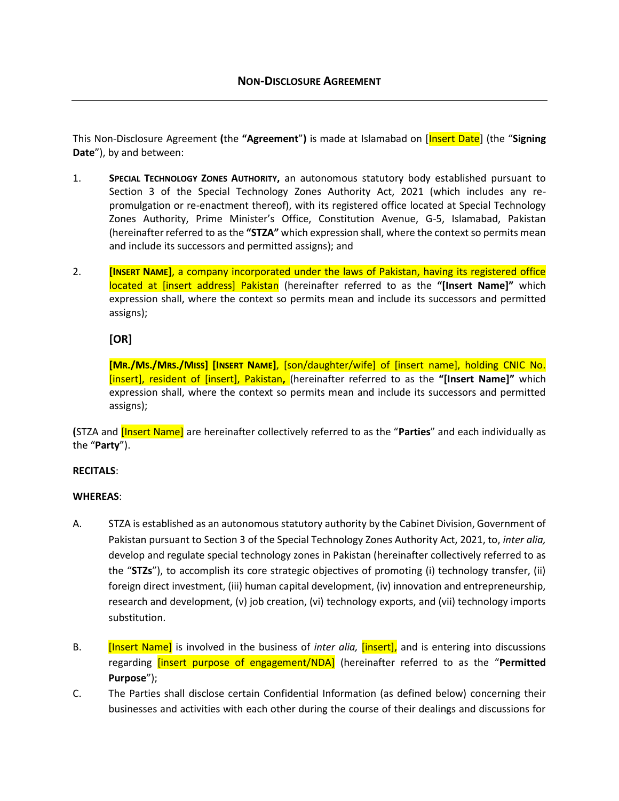This Non-Disclosure Agreement **(**the **"Agreement**"**)** is made at Islamabad on [Insert Date] (the "**Signing Date**"), by and between:

- 1. **SPECIAL TECHNOLOGY ZONES AUTHORITY,** an autonomous statutory body established pursuant to Section 3 of the Special Technology Zones Authority Act, 2021 (which includes any repromulgation or re-enactment thereof), with its registered office located at Special Technology Zones Authority, Prime Minister's Office, Constitution Avenue, G-5, Islamabad, Pakistan (hereinafter referred to as the **"STZA"** which expression shall, where the context so permits mean and include its successors and permitted assigns); and
- 2. **[INSERT NAME]**, a company incorporated under the laws of Pakistan, having its registered office located at [insert address] Pakistan (hereinafter referred to as the **"[Insert Name]"** which expression shall, where the context so permits mean and include its successors and permitted assigns);

### **[OR]**

**[MR./MS./MRS./MISS] [INSERT NAME]**, [son/daughter/wife] of [insert name], holding CNIC No. [insert], resident of [insert], Pakistan**,** (hereinafter referred to as the **"[Insert Name]"** which expression shall, where the context so permits mean and include its successors and permitted assigns);

**(**STZA and [Insert Name] are hereinafter collectively referred to as the "**Parties**" and each individually as the "**Party**").

#### **RECITALS**:

#### **WHEREAS**:

- A. STZA is established as an autonomous statutory authority by the Cabinet Division, Government of Pakistan pursuant to Section 3 of the Special Technology Zones Authority Act, 2021, to, *inter alia,* develop and regulate special technology zones in Pakistan (hereinafter collectively referred to as the "**STZs**"), to accomplish its core strategic objectives of promoting (i) technology transfer, (ii) foreign direct investment, (iii) human capital development, (iv) innovation and entrepreneurship, research and development, (v) job creation, (vi) technology exports, and (vii) technology imports substitution.
- B. [Insert Name] is involved in the business of *inter alia,* [insert], and is entering into discussions regarding [insert purpose of engagement/NDA] (hereinafter referred to as the "**Permitted Purpose**");
- C. The Parties shall disclose certain Confidential Information (as defined below) concerning their businesses and activities with each other during the course of their dealings and discussions for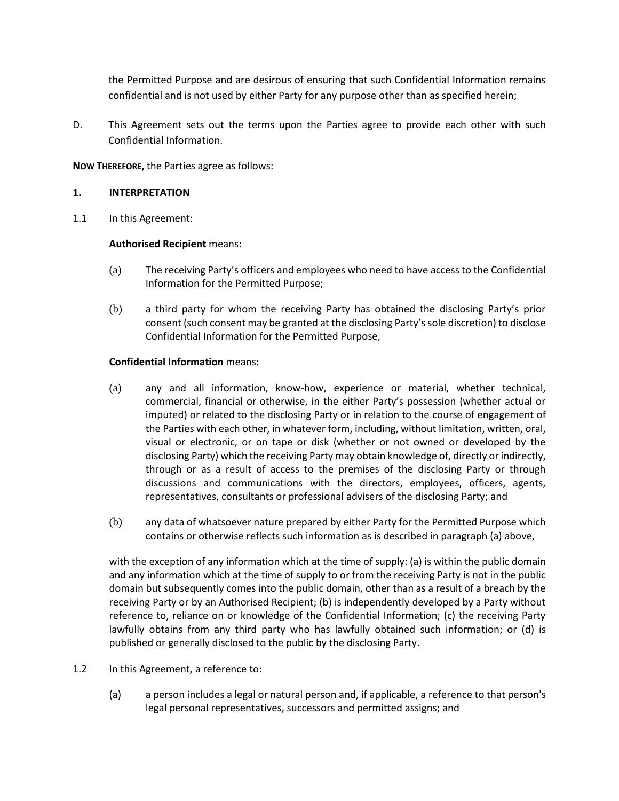the Permitted Purpose and are desirous of ensuring that such Confidential Information remains confidential and is not used by either Party for any purpose other than as specified herein;

D. This Agreement sets out the terms upon the Parties agree to provide each other with such Confidential Information.

#### **NOW THEREFORE,** the Parties agree as follows:

#### **1. INTERPRETATION**

1.1 In this Agreement:

#### **Authorised Recipient** means:

- (a) The receiving Party's officers and employees who need to have access to the Confidential Information for the Permitted Purpose;
- (b) a third party for whom the receiving Party has obtained the disclosing Party's prior consent (such consent may be granted at the disclosing Party's sole discretion) to disclose Confidential Information for the Permitted Purpose,

#### **Confidential Information** means:

- (a) any and all information, know-how, experience or material, whether technical, commercial, financial or otherwise, in the either Party's possession (whether actual or imputed) or related to the disclosing Party or in relation to the course of engagement of the Parties with each other, in whatever form, including, without limitation, written, oral, visual or electronic, or on tape or disk (whether or not owned or developed by the disclosing Party) which the receiving Party may obtain knowledge of, directly or indirectly, through or as a result of access to the premises of the disclosing Party or through discussions and communications with the directors, employees, officers, agents, representatives, consultants or professional advisers of the disclosing Party; and
- (b) any data of whatsoever nature prepared by either Party for the Permitted Purpose which contains or otherwise reflects such information as is described in paragraph (a) above,

with the exception of any information which at the time of supply: (a) is within the public domain and any information which at the time of supply to or from the receiving Party is not in the public domain but subsequently comes into the public domain, other than as a result of a breach by the receiving Party or by an Authorised Recipient; (b) is independently developed by a Party without reference to, reliance on or knowledge of the Confidential Information; (c) the receiving Party lawfully obtains from any third party who has lawfully obtained such information; or (d) is published or generally disclosed to the public by the disclosing Party.

- 1.2 In this Agreement, a reference to:
	- (a) a person includes a legal or natural person and, if applicable, a reference to that person's legal personal representatives, successors and permitted assigns; and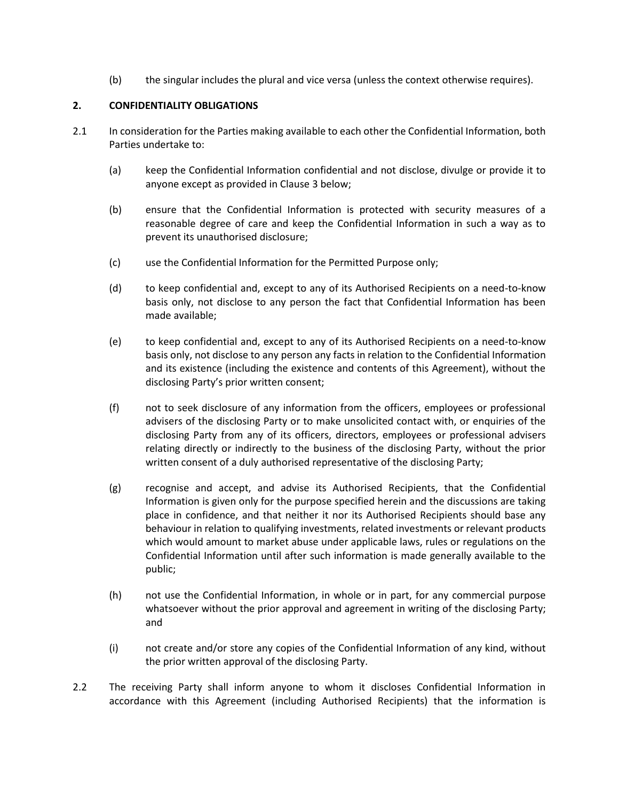(b) the singular includes the plural and vice versa (unless the context otherwise requires).

#### **2. CONFIDENTIALITY OBLIGATIONS**

- 2.1 In consideration for the Parties making available to each other the Confidential Information, both Parties undertake to:
	- (a) keep the Confidential Information confidential and not disclose, divulge or provide it to anyone except as provided in Clause [3 below;](#page-18-0)
	- (b) ensure that the Confidential Information is protected with security measures of a reasonable degree of care and keep the Confidential Information in such a way as to prevent its unauthorised disclosure;
	- (c) use the Confidential Information for the Permitted Purpose only;
	- (d) to keep confidential and, except to any of its Authorised Recipients on a need-to-know basis only, not disclose to any person the fact that Confidential Information has been made available;
	- (e) to keep confidential and, except to any of its Authorised Recipients on a need-to-know basis only, not disclose to any person any facts in relation to the Confidential Information and its existence (including the existence and contents of this Agreement), without the disclosing Party's prior written consent;
	- (f) not to seek disclosure of any information from the officers, employees or professional advisers of the disclosing Party or to make unsolicited contact with, or enquiries of the disclosing Party from any of its officers, directors, employees or professional advisers relating directly or indirectly to the business of the disclosing Party, without the prior written consent of a duly authorised representative of the disclosing Party;
	- (g) recognise and accept, and advise its Authorised Recipients, that the Confidential Information is given only for the purpose specified herein and the discussions are taking place in confidence, and that neither it nor its Authorised Recipients should base any behaviour in relation to qualifying investments, related investments or relevant products which would amount to market abuse under applicable laws, rules or regulations on the Confidential Information until after such information is made generally available to the public;
	- (h) not use the Confidential Information, in whole or in part, for any commercial purpose whatsoever without the prior approval and agreement in writing of the disclosing Party; and
	- (i) not create and/or store any copies of the Confidential Information of any kind, without the prior written approval of the disclosing Party.
- 2.2 The receiving Party shall inform anyone to whom it discloses Confidential Information in accordance with this Agreement (including Authorised Recipients) that the information is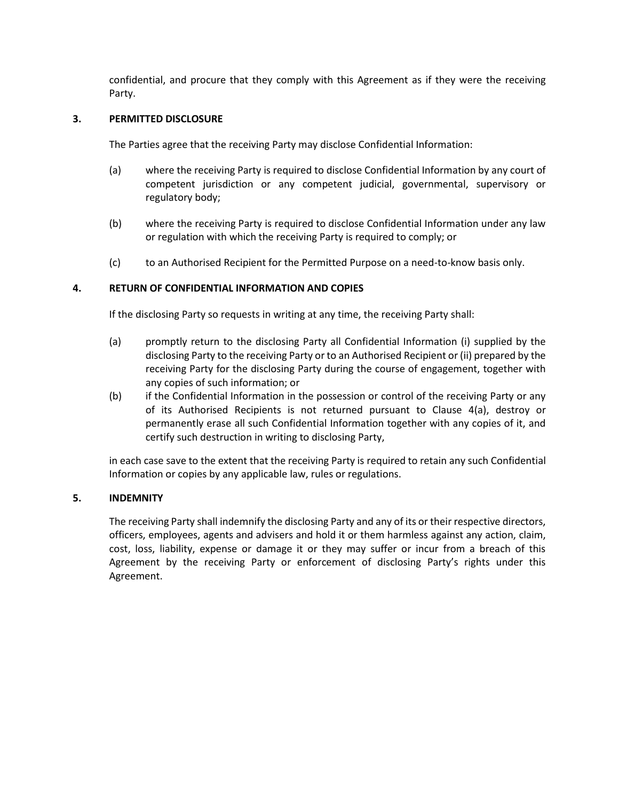confidential, and procure that they comply with this Agreement as if they were the receiving Party.

#### <span id="page-18-0"></span>**3. PERMITTED DISCLOSURE**

The Parties agree that the receiving Party may disclose Confidential Information:

- (a) where the receiving Party is required to disclose Confidential Information by any court of competent jurisdiction or any competent judicial, governmental, supervisory or regulatory body;
- (b) where the receiving Party is required to disclose Confidential Information under any law or regulation with which the receiving Party is required to comply; or
- (c) to an Authorised Recipient for the Permitted Purpose on a need-to-know basis only.

#### <span id="page-18-1"></span>**4. RETURN OF CONFIDENTIAL INFORMATION AND COPIES**

If the disclosing Party so requests in writing at any time, the receiving Party shall:

- (a) promptly return to the disclosing Party all Confidential Information (i) supplied by the disclosing Party to the receiving Party or to an Authorised Recipient or (ii) prepared by the receiving Party for the disclosing Party during the course of engagement, together with any copies of such information; or
- (b) if the Confidential Information in the possession or control of the receiving Party or any of its Authorised Recipients is not returned pursuant to Clause [4\(a\),](#page-18-1) destroy or permanently erase all such Confidential Information together with any copies of it, and certify such destruction in writing to disclosing Party,

in each case save to the extent that the receiving Party is required to retain any such Confidential Information or copies by any applicable law, rules or regulations.

#### **5. INDEMNITY**

The receiving Party shall indemnify the disclosing Party and any of its or their respective directors, officers, employees, agents and advisers and hold it or them harmless against any action, claim, cost, loss, liability, expense or damage it or they may suffer or incur from a breach of this Agreement by the receiving Party or enforcement of disclosing Party's rights under this Agreement.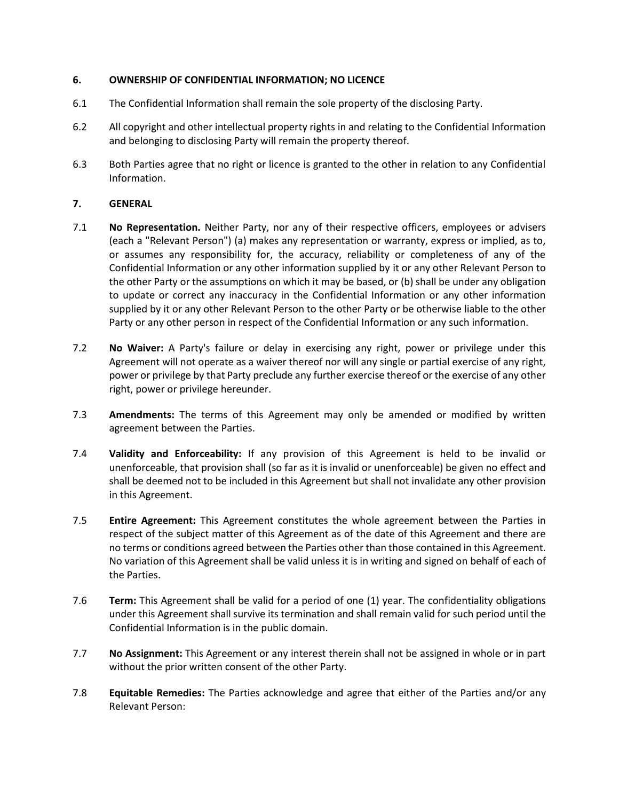#### **6. OWNERSHIP OF CONFIDENTIAL INFORMATION; NO LICENCE**

- 6.1 The Confidential Information shall remain the sole property of the disclosing Party.
- 6.2 All copyright and other intellectual property rights in and relating to the Confidential Information and belonging to disclosing Party will remain the property thereof.
- 6.3 Both Parties agree that no right or licence is granted to the other in relation to any Confidential Information.

#### **7. GENERAL**

- 7.1 **No Representation.** Neither Party, nor any of their respective officers, employees or advisers (each a "Relevant Person") (a) makes any representation or warranty, express or implied, as to, or assumes any responsibility for, the accuracy, reliability or completeness of any of the Confidential Information or any other information supplied by it or any other Relevant Person to the other Party or the assumptions on which it may be based, or (b) shall be under any obligation to update or correct any inaccuracy in the Confidential Information or any other information supplied by it or any other Relevant Person to the other Party or be otherwise liable to the other Party or any other person in respect of the Confidential Information or any such information.
- 7.2 **No Waiver:** A Party's failure or delay in exercising any right, power or privilege under this Agreement will not operate as a waiver thereof nor will any single or partial exercise of any right, power or privilege by that Party preclude any further exercise thereof or the exercise of any other right, power or privilege hereunder.
- 7.3 **Amendments:** The terms of this Agreement may only be amended or modified by written agreement between the Parties.
- 7.4 **Validity and Enforceability:** If any provision of this Agreement is held to be invalid or unenforceable, that provision shall (so far as it is invalid or unenforceable) be given no effect and shall be deemed not to be included in this Agreement but shall not invalidate any other provision in this Agreement.
- 7.5 **Entire Agreement:** This Agreement constitutes the whole agreement between the Parties in respect of the subject matter of this Agreement as of the date of this Agreement and there are no terms or conditions agreed between the Parties other than those contained in this Agreement. No variation of this Agreement shall be valid unless it is in writing and signed on behalf of each of the Parties.
- 7.6 **Term:** This Agreement shall be valid for a period of one (1) year. The confidentiality obligations under this Agreement shall survive its termination and shall remain valid for such period until the Confidential Information is in the public domain.
- 7.7 **No Assignment:** This Agreement or any interest therein shall not be assigned in whole or in part without the prior written consent of the other Party.
- 7.8 **Equitable Remedies:** The Parties acknowledge and agree that either of the Parties and/or any Relevant Person: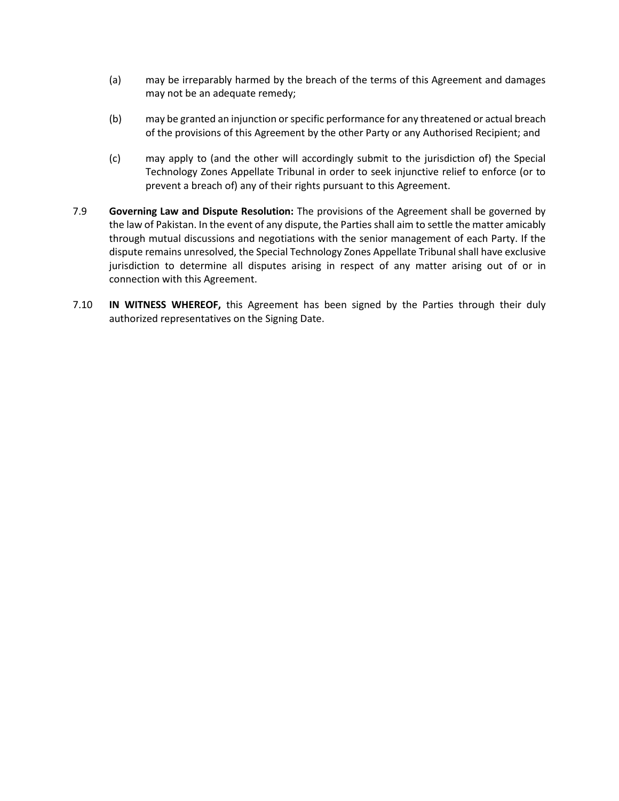- (a) may be irreparably harmed by the breach of the terms of this Agreement and damages may not be an adequate remedy;
- (b) may be granted an injunction or specific performance for any threatened or actual breach of the provisions of this Agreement by the other Party or any Authorised Recipient; and
- (c) may apply to (and the other will accordingly submit to the jurisdiction of) the Special Technology Zones Appellate Tribunal in order to seek injunctive relief to enforce (or to prevent a breach of) any of their rights pursuant to this Agreement.
- 7.9 **Governing Law and Dispute Resolution:** The provisions of the Agreement shall be governed by the law of Pakistan. In the event of any dispute, the Parties shall aim to settle the matter amicably through mutual discussions and negotiations with the senior management of each Party. If the dispute remains unresolved, the Special Technology Zones Appellate Tribunal shall have exclusive jurisdiction to determine all disputes arising in respect of any matter arising out of or in connection with this Agreement.
- 7.10 **IN WITNESS WHEREOF,** this Agreement has been signed by the Parties through their duly authorized representatives on the Signing Date.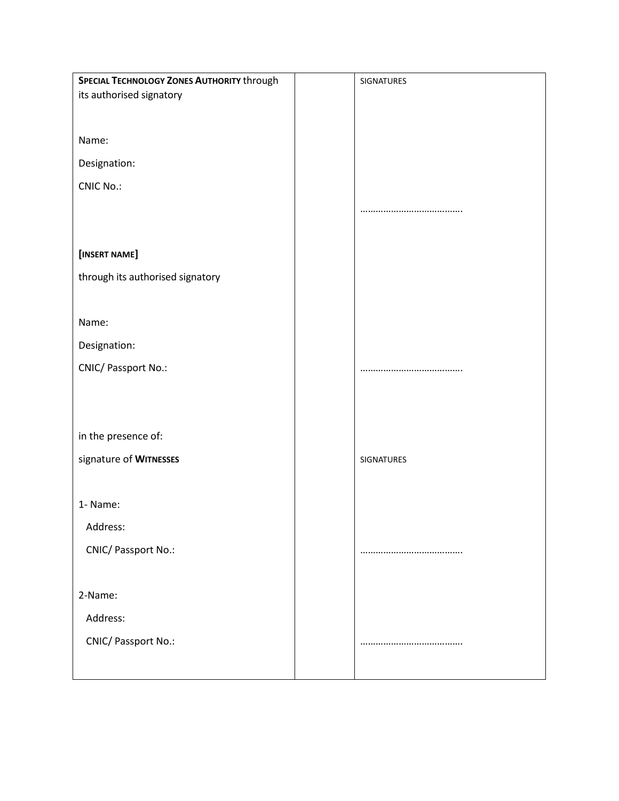| SPECIAL TECHNOLOGY ZONES AUTHORITY through | SIGNATURES |
|--------------------------------------------|------------|
| its authorised signatory                   |            |
|                                            |            |
| Name:                                      |            |
|                                            |            |
| Designation:                               |            |
| <b>CNIC No.:</b>                           |            |
|                                            |            |
|                                            |            |
| [INSERT NAME]                              |            |
|                                            |            |
| through its authorised signatory           |            |
|                                            |            |
| Name:                                      |            |
| Designation:                               |            |
| CNIC/ Passport No.:                        |            |
|                                            |            |
|                                            |            |
|                                            |            |
| in the presence of:                        |            |
| signature of WITNESSES                     | SIGNATURES |
|                                            |            |
| 1- Name:                                   |            |
|                                            |            |
| Address:                                   |            |
| CNIC/ Passport No.:                        |            |
|                                            |            |
| 2-Name:                                    |            |
| Address:                                   |            |
|                                            |            |
| CNIC/ Passport No.:                        |            |
|                                            |            |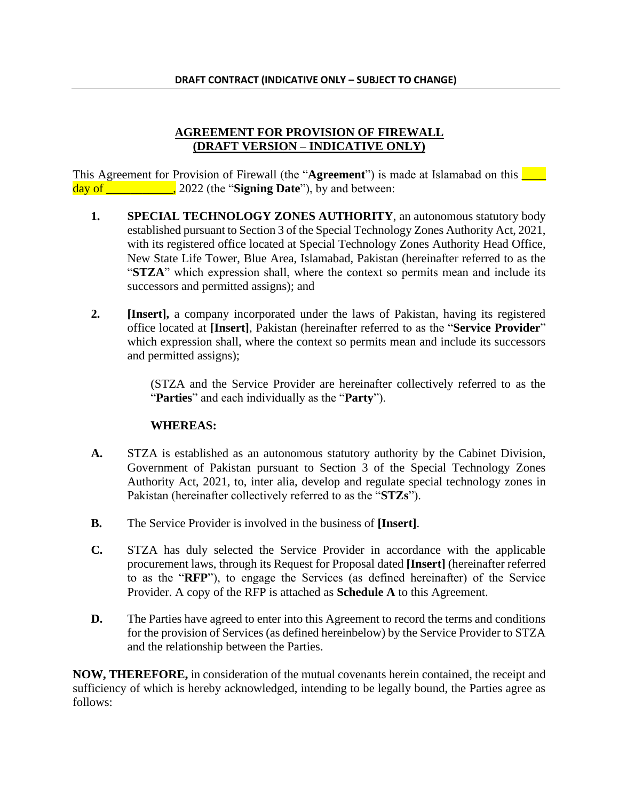### **AGREEMENT FOR PROVISION OF FIREWALL (DRAFT VERSION – INDICATIVE ONLY)**

This Agreement for Provision of Firewall (the "**Agreement**") is made at Islamabad on this **Theory** day of \_\_\_\_\_\_\_\_\_\_\_, 2022 (the "**Signing Date**"), by and between:

- **1. SPECIAL TECHNOLOGY ZONES AUTHORITY**, an autonomous statutory body established pursuant to Section 3 of the Special Technology Zones Authority Act, 2021, with its registered office located at Special Technology Zones Authority Head Office, New State Life Tower, Blue Area, Islamabad, Pakistan (hereinafter referred to as the "**STZA**" which expression shall, where the context so permits mean and include its successors and permitted assigns); and
- **2. [Insert],** a company incorporated under the laws of Pakistan, having its registered office located at **[Insert]**, Pakistan (hereinafter referred to as the "**Service Provider**" which expression shall, where the context so permits mean and include its successors and permitted assigns);

(STZA and the Service Provider are hereinafter collectively referred to as the "**Parties**" and each individually as the "**Party**").

# **WHEREAS:**

- **A.** STZA is established as an autonomous statutory authority by the Cabinet Division, Government of Pakistan pursuant to Section 3 of the Special Technology Zones Authority Act, 2021, to, inter alia, develop and regulate special technology zones in Pakistan (hereinafter collectively referred to as the "**STZs**").
- **B.** The Service Provider is involved in the business of **[Insert]**.
- **C.** STZA has duly selected the Service Provider in accordance with the applicable procurement laws, through its Request for Proposal dated **[Insert]** (hereinafter referred to as the "**RFP**"), to engage the Services (as defined hereinafter) of the Service Provider. A copy of the RFP is attached as **Schedule A** to this Agreement.
- **D.** The Parties have agreed to enter into this Agreement to record the terms and conditions for the provision of Services (as defined hereinbelow) by the Service Provider to STZA and the relationship between the Parties.

**NOW, THEREFORE,** in consideration of the mutual covenants herein contained, the receipt and sufficiency of which is hereby acknowledged, intending to be legally bound, the Parties agree as follows: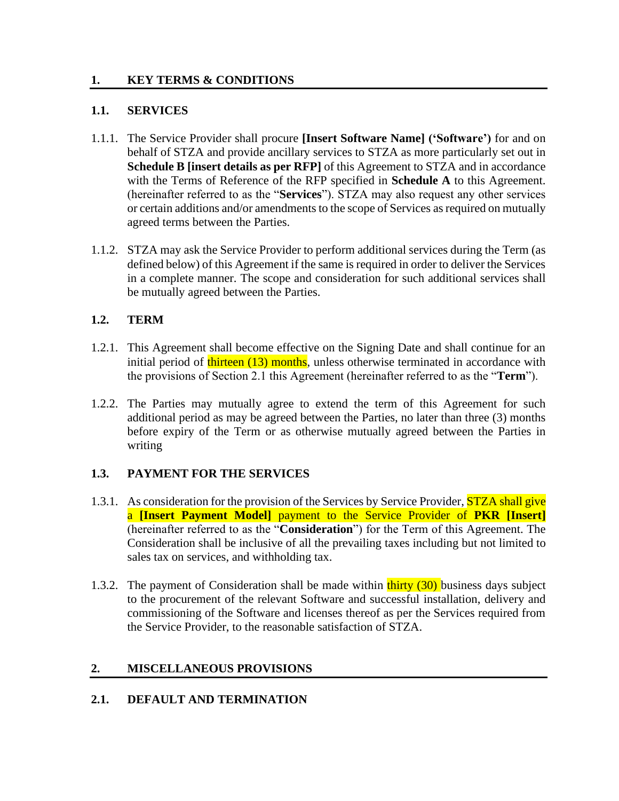### **1. KEY TERMS & CONDITIONS**

### **1.1. SERVICES**

- 1.1.1. The Service Provider shall procure **[Insert Software Name] ('Software')** for and on behalf of STZA and provide ancillary services to STZA as more particularly set out in **Schedule B [insert details as per RFP]** of this Agreement to STZA and in accordance with the Terms of Reference of the RFP specified in **Schedule A** to this Agreement. (hereinafter referred to as the "**Services**"). STZA may also request any other services or certain additions and/or amendments to the scope of Services as required on mutually agreed terms between the Parties.
- 1.1.2. STZA may ask the Service Provider to perform additional services during the Term (as defined below) of this Agreement if the same is required in order to deliver the Services in a complete manner. The scope and consideration for such additional services shall be mutually agreed between the Parties.

# **1.2. TERM**

- 1.2.1. This Agreement shall become effective on the Signing Date and shall continue for an initial period of **thirteen** (13) months, unless otherwise terminated in accordance with the provisions of Section 2.1 this Agreement (hereinafter referred to as the "**Term**").
- 1.2.2. The Parties may mutually agree to extend the term of this Agreement for such additional period as may be agreed between the Parties, no later than three (3) months before expiry of the Term or as otherwise mutually agreed between the Parties in writing

# **1.3. PAYMENT FOR THE SERVICES**

- 1.3.1. As consideration for the provision of the Services by Service Provider, **STZA shall give** a **[Insert Payment Model]** payment to the Service Provider of **PKR [Insert]** (hereinafter referred to as the "**Consideration**") for the Term of this Agreement. The Consideration shall be inclusive of all the prevailing taxes including but not limited to sales tax on services, and withholding tax.
- 1.3.2. The payment of Consideration shall be made within  $\frac{\text{thirty}}{\text{d}0}$  business days subject to the procurement of the relevant Software and successful installation, delivery and commissioning of the Software and licenses thereof as per the Services required from the Service Provider, to the reasonable satisfaction of STZA.

# **2. MISCELLANEOUS PROVISIONS**

# **2.1. DEFAULT AND TERMINATION**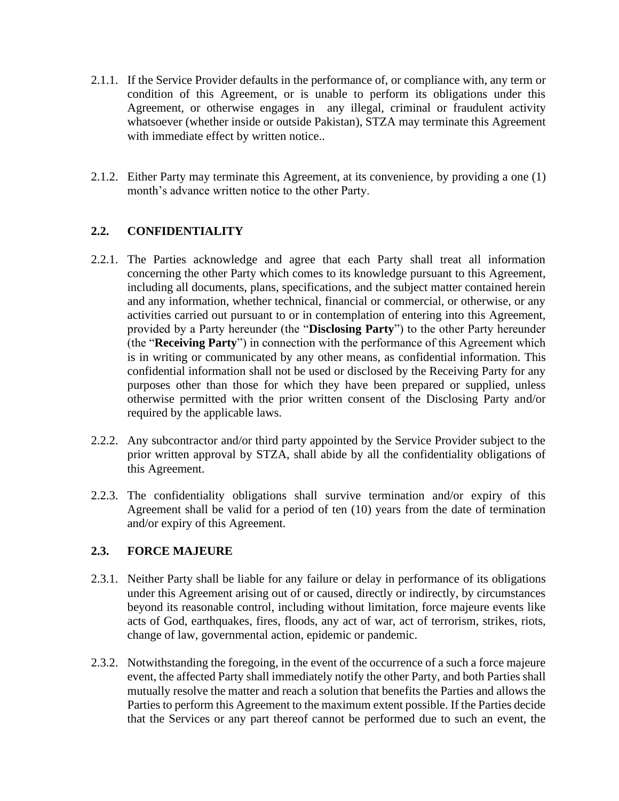- 2.1.1. If the Service Provider defaults in the performance of, or compliance with, any term or condition of this Agreement, or is unable to perform its obligations under this Agreement, or otherwise engages in any illegal, criminal or fraudulent activity whatsoever (whether inside or outside Pakistan), STZA may terminate this Agreement with immediate effect by written notice..
- 2.1.2. Either Party may terminate this Agreement, at its convenience, by providing a one (1) month's advance written notice to the other Party.

# **2.2. CONFIDENTIALITY**

- 2.2.1. The Parties acknowledge and agree that each Party shall treat all information concerning the other Party which comes to its knowledge pursuant to this Agreement, including all documents, plans, specifications, and the subject matter contained herein and any information, whether technical, financial or commercial, or otherwise, or any activities carried out pursuant to or in contemplation of entering into this Agreement, provided by a Party hereunder (the "**Disclosing Party**") to the other Party hereunder (the "**Receiving Party**") in connection with the performance of this Agreement which is in writing or communicated by any other means, as confidential information. This confidential information shall not be used or disclosed by the Receiving Party for any purposes other than those for which they have been prepared or supplied, unless otherwise permitted with the prior written consent of the Disclosing Party and/or required by the applicable laws.
- 2.2.2. Any subcontractor and/or third party appointed by the Service Provider subject to the prior written approval by STZA, shall abide by all the confidentiality obligations of this Agreement.
- 2.2.3. The confidentiality obligations shall survive termination and/or expiry of this Agreement shall be valid for a period of ten (10) years from the date of termination and/or expiry of this Agreement.

# **2.3. FORCE MAJEURE**

- 2.3.1. Neither Party shall be liable for any failure or delay in performance of its obligations under this Agreement arising out of or caused, directly or indirectly, by circumstances beyond its reasonable control, including without limitation, force majeure events like acts of God, earthquakes, fires, floods, any act of war, act of terrorism, strikes, riots, change of law, governmental action, epidemic or pandemic.
- 2.3.2. Notwithstanding the foregoing, in the event of the occurrence of a such a force majeure event, the affected Party shall immediately notify the other Party, and both Parties shall mutually resolve the matter and reach a solution that benefits the Parties and allows the Parties to perform this Agreement to the maximum extent possible. If the Parties decide that the Services or any part thereof cannot be performed due to such an event, the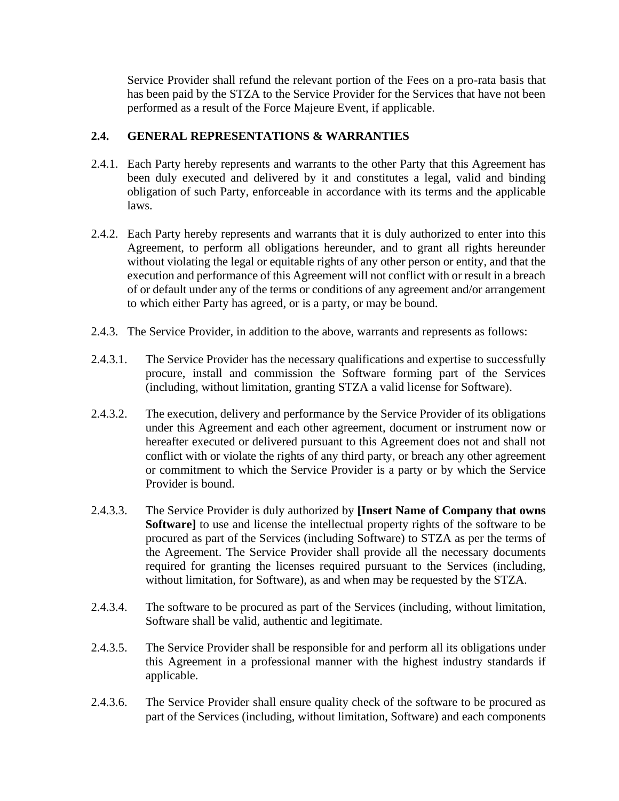Service Provider shall refund the relevant portion of the Fees on a pro-rata basis that has been paid by the STZA to the Service Provider for the Services that have not been performed as a result of the Force Majeure Event, if applicable.

# **2.4. GENERAL REPRESENTATIONS & WARRANTIES**

- 2.4.1. Each Party hereby represents and warrants to the other Party that this Agreement has been duly executed and delivered by it and constitutes a legal, valid and binding obligation of such Party, enforceable in accordance with its terms and the applicable laws.
- 2.4.2. Each Party hereby represents and warrants that it is duly authorized to enter into this Agreement, to perform all obligations hereunder, and to grant all rights hereunder without violating the legal or equitable rights of any other person or entity, and that the execution and performance of this Agreement will not conflict with or result in a breach of or default under any of the terms or conditions of any agreement and/or arrangement to which either Party has agreed, or is a party, or may be bound.
- 2.4.3. The Service Provider, in addition to the above, warrants and represents as follows:
- 2.4.3.1. The Service Provider has the necessary qualifications and expertise to successfully procure, install and commission the Software forming part of the Services (including, without limitation, granting STZA a valid license for Software).
- 2.4.3.2. The execution, delivery and performance by the Service Provider of its obligations under this Agreement and each other agreement, document or instrument now or hereafter executed or delivered pursuant to this Agreement does not and shall not conflict with or violate the rights of any third party, or breach any other agreement or commitment to which the Service Provider is a party or by which the Service Provider is bound.
- 2.4.3.3. The Service Provider is duly authorized by **[Insert Name of Company that owns Software]** to use and license the intellectual property rights of the software to be procured as part of the Services (including Software) to STZA as per the terms of the Agreement. The Service Provider shall provide all the necessary documents required for granting the licenses required pursuant to the Services (including, without limitation, for Software), as and when may be requested by the STZA.
- 2.4.3.4. The software to be procured as part of the Services (including, without limitation, Software shall be valid, authentic and legitimate.
- 2.4.3.5. The Service Provider shall be responsible for and perform all its obligations under this Agreement in a professional manner with the highest industry standards if applicable.
- 2.4.3.6. The Service Provider shall ensure quality check of the software to be procured as part of the Services (including, without limitation, Software) and each components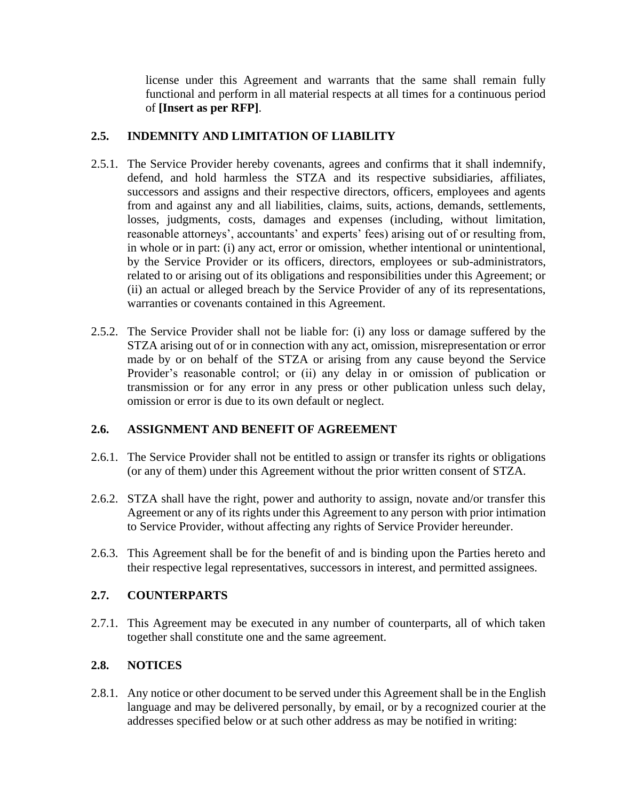license under this Agreement and warrants that the same shall remain fully functional and perform in all material respects at all times for a continuous period of **[Insert as per RFP]**.

# **2.5. INDEMNITY AND LIMITATION OF LIABILITY**

- 2.5.1. The Service Provider hereby covenants, agrees and confirms that it shall indemnify, defend, and hold harmless the STZA and its respective subsidiaries, affiliates, successors and assigns and their respective directors, officers, employees and agents from and against any and all liabilities, claims, suits, actions, demands, settlements, losses, judgments, costs, damages and expenses (including, without limitation, reasonable attorneys', accountants' and experts' fees) arising out of or resulting from, in whole or in part: (i) any act, error or omission, whether intentional or unintentional, by the Service Provider or its officers, directors, employees or sub-administrators, related to or arising out of its obligations and responsibilities under this Agreement; or (ii) an actual or alleged breach by the Service Provider of any of its representations, warranties or covenants contained in this Agreement.
- 2.5.2. The Service Provider shall not be liable for: (i) any loss or damage suffered by the STZA arising out of or in connection with any act, omission, misrepresentation or error made by or on behalf of the STZA or arising from any cause beyond the Service Provider's reasonable control; or (ii) any delay in or omission of publication or transmission or for any error in any press or other publication unless such delay, omission or error is due to its own default or neglect.

# **2.6. ASSIGNMENT AND BENEFIT OF AGREEMENT**

- 2.6.1. The Service Provider shall not be entitled to assign or transfer its rights or obligations (or any of them) under this Agreement without the prior written consent of STZA.
- 2.6.2. STZA shall have the right, power and authority to assign, novate and/or transfer this Agreement or any of its rights under this Agreement to any person with prior intimation to Service Provider, without affecting any rights of Service Provider hereunder.
- 2.6.3. This Agreement shall be for the benefit of and is binding upon the Parties hereto and their respective legal representatives, successors in interest, and permitted assignees.

# **2.7. COUNTERPARTS**

2.7.1. This Agreement may be executed in any number of counterparts, all of which taken together shall constitute one and the same agreement.

# **2.8. NOTICES**

2.8.1. Any notice or other document to be served under this Agreement shall be in the English language and may be delivered personally, by email, or by a recognized courier at the addresses specified below or at such other address as may be notified in writing: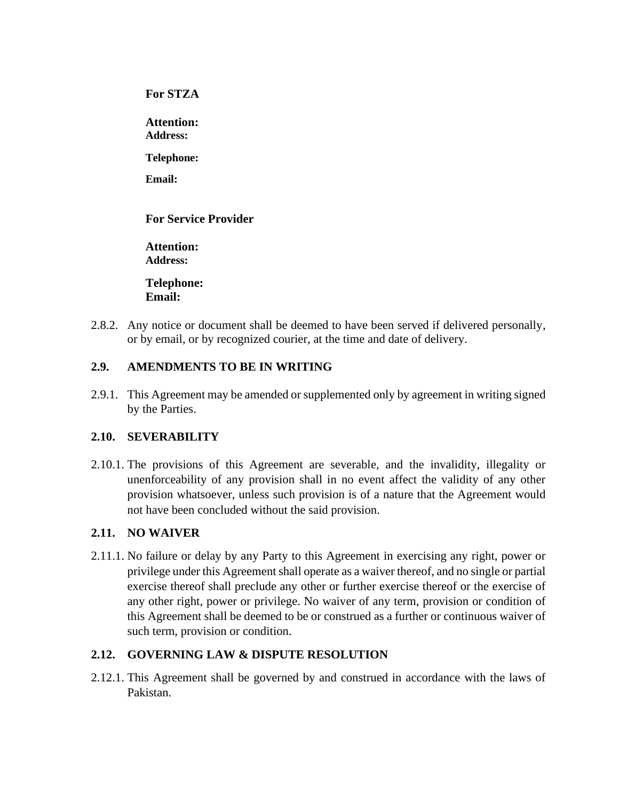**For STZA**

**Attention: Address:** 

**Telephone:** 

**Email:** 

# **For Service Provider**

**Attention: Address:** 

**Telephone: Email:** 

2.8.2. Any notice or document shall be deemed to have been served if delivered personally, or by email, or by recognized courier, at the time and date of delivery.

# **2.9. AMENDMENTS TO BE IN WRITING**

2.9.1. This Agreement may be amended or supplemented only by agreement in writing signed by the Parties.

# **2.10. SEVERABILITY**

2.10.1. The provisions of this Agreement are severable, and the invalidity, illegality or unenforceability of any provision shall in no event affect the validity of any other provision whatsoever, unless such provision is of a nature that the Agreement would not have been concluded without the said provision.

# **2.11. NO WAIVER**

2.11.1. No failure or delay by any Party to this Agreement in exercising any right, power or privilege under this Agreement shall operate as a waiver thereof, and no single or partial exercise thereof shall preclude any other or further exercise thereof or the exercise of any other right, power or privilege. No waiver of any term, provision or condition of this Agreement shall be deemed to be or construed as a further or continuous waiver of such term, provision or condition.

# **2.12. GOVERNING LAW & DISPUTE RESOLUTION**

2.12.1. This Agreement shall be governed by and construed in accordance with the laws of Pakistan.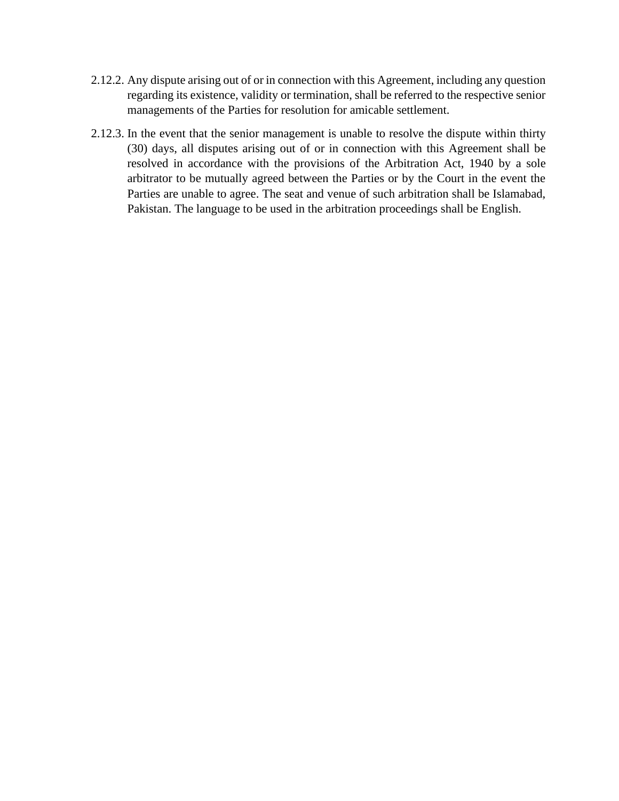- 2.12.2. Any dispute arising out of or in connection with this Agreement, including any question regarding its existence, validity or termination, shall be referred to the respective senior managements of the Parties for resolution for amicable settlement.
- 2.12.3. In the event that the senior management is unable to resolve the dispute within thirty (30) days, all disputes arising out of or in connection with this Agreement shall be resolved in accordance with the provisions of the Arbitration Act, 1940 by a sole arbitrator to be mutually agreed between the Parties or by the Court in the event the Parties are unable to agree. The seat and venue of such arbitration shall be Islamabad, Pakistan. The language to be used in the arbitration proceedings shall be English.